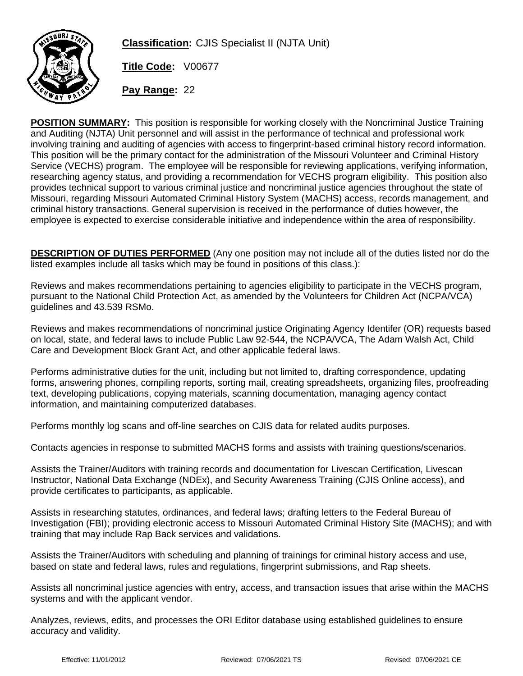

**Classification:** CJIS Specialist II (NJTA Unit)

**Title Code:** V00677

**Pay Range:** 22

**POSITION SUMMARY:** This position is responsible for working closely with the Noncriminal Justice Training and Auditing (NJTA) Unit personnel and will assist in the performance of technical and professional work involving training and auditing of agencies with access to fingerprint-based criminal history record information. This position will be the primary contact for the administration of the Missouri Volunteer and Criminal History Service (VECHS) program. The employee will be responsible for reviewing applications, verifying information, researching agency status, and providing a recommendation for VECHS program eligibility. This position also provides technical support to various criminal justice and noncriminal justice agencies throughout the state of Missouri, regarding Missouri Automated Criminal History System (MACHS) access, records management, and criminal history transactions. General supervision is received in the performance of duties however, the employee is expected to exercise considerable initiative and independence within the area of responsibility.

**DESCRIPTION OF DUTIES PERFORMED** (Any one position may not include all of the duties listed nor do the listed examples include all tasks which may be found in positions of this class.):

Reviews and makes recommendations pertaining to agencies eligibility to participate in the VECHS program, pursuant to the National Child Protection Act, as amended by the Volunteers for Children Act (NCPA/VCA) guidelines and 43.539 RSMo.

Reviews and makes recommendations of noncriminal justice Originating Agency Identifer (OR) requests based on local, state, and federal laws to include Public Law 92-544, the NCPA/VCA, The Adam Walsh Act, Child Care and Development Block Grant Act, and other applicable federal laws.

Performs administrative duties for the unit, including but not limited to, drafting correspondence, updating forms, answering phones, compiling reports, sorting mail, creating spreadsheets, organizing files, proofreading text, developing publications, copying materials, scanning documentation, managing agency contact information, and maintaining computerized databases.

Performs monthly log scans and off-line searches on CJIS data for related audits purposes.

Contacts agencies in response to submitted MACHS forms and assists with training questions/scenarios.

Assists the Trainer/Auditors with training records and documentation for Livescan Certification, Livescan Instructor, National Data Exchange (NDEx), and Security Awareness Training (CJIS Online access), and provide certificates to participants, as applicable.

Assists in researching statutes, ordinances, and federal laws; drafting letters to the Federal Bureau of Investigation (FBI); providing electronic access to Missouri Automated Criminal History Site (MACHS); and with training that may include Rap Back services and validations.

Assists the Trainer/Auditors with scheduling and planning of trainings for criminal history access and use, based on state and federal laws, rules and regulations, fingerprint submissions, and Rap sheets.

Assists all noncriminal justice agencies with entry, access, and transaction issues that arise within the MACHS systems and with the applicant vendor.

Analyzes, reviews, edits, and processes the ORI Editor database using established guidelines to ensure accuracy and validity.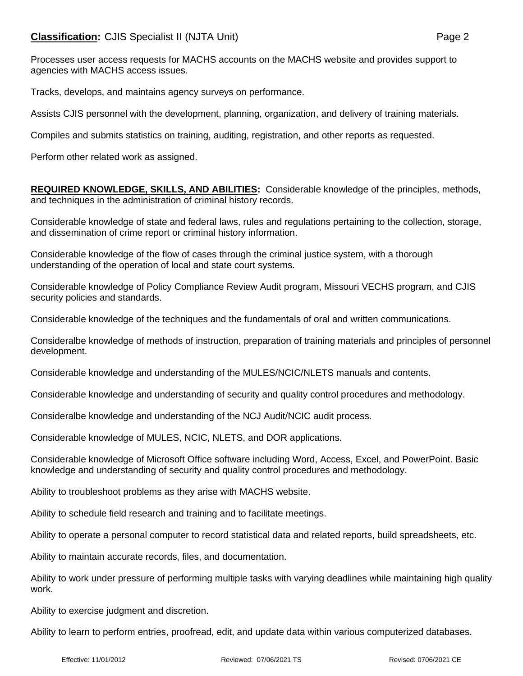Processes user access requests for MACHS accounts on the MACHS website and provides support to agencies with MACHS access issues.

Tracks, develops, and maintains agency surveys on performance.

Assists CJIS personnel with the development, planning, organization, and delivery of training materials.

Compiles and submits statistics on training, auditing, registration, and other reports as requested.

Perform other related work as assigned.

**REQUIRED KNOWLEDGE, SKILLS, AND ABILITIES:** Considerable knowledge of the principles, methods, and techniques in the administration of criminal history records.

Considerable knowledge of state and federal laws, rules and regulations pertaining to the collection, storage, and dissemination of crime report or criminal history information.

Considerable knowledge of the flow of cases through the criminal justice system, with a thorough understanding of the operation of local and state court systems.

Considerable knowledge of Policy Compliance Review Audit program, Missouri VECHS program, and CJIS security policies and standards.

Considerable knowledge of the techniques and the fundamentals of oral and written communications.

Consideralbe knowledge of methods of instruction, preparation of training materials and principles of personnel development.

Considerable knowledge and understanding of the MULES/NCIC/NLETS manuals and contents.

Considerable knowledge and understanding of security and quality control procedures and methodology.

Consideralbe knowledge and understanding of the NCJ Audit/NCIC audit process.

Considerable knowledge of MULES, NCIC, NLETS, and DOR applications.

Considerable knowledge of Microsoft Office software including Word, Access, Excel, and PowerPoint. Basic knowledge and understanding of security and quality control procedures and methodology.

Ability to troubleshoot problems as they arise with MACHS website.

Ability to schedule field research and training and to facilitate meetings.

Ability to operate a personal computer to record statistical data and related reports, build spreadsheets, etc.

Ability to maintain accurate records, files, and documentation.

Ability to work under pressure of performing multiple tasks with varying deadlines while maintaining high quality work.

Ability to exercise judgment and discretion.

Ability to learn to perform entries, proofread, edit, and update data within various computerized databases.